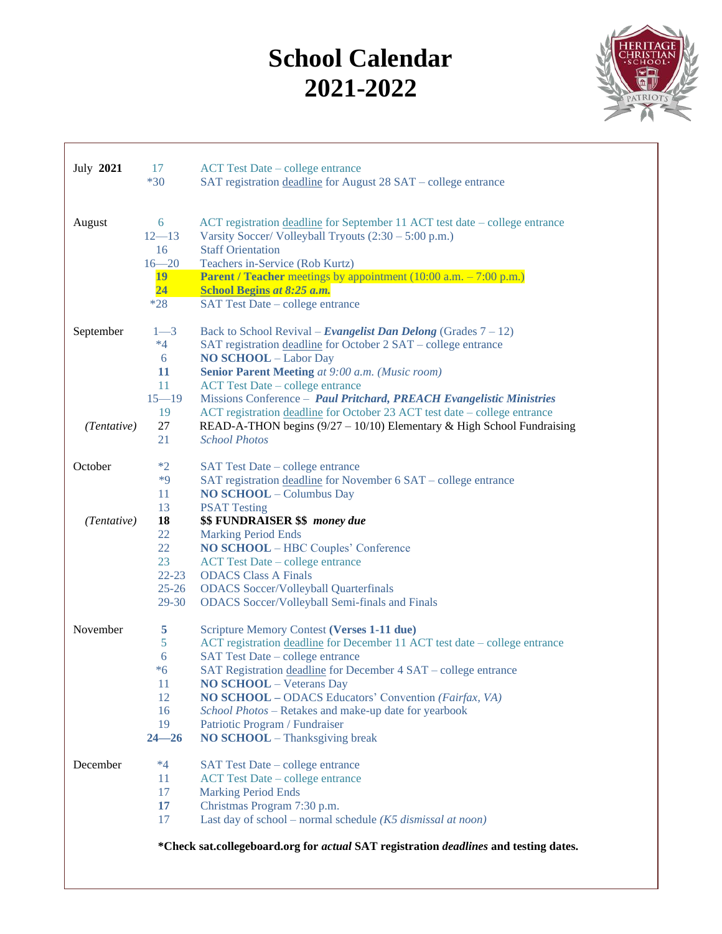## **School Calendar 2021-2022**



| July 2021                                                                            | 17              | <b>ACT Test Date – college entrance</b>                                                             |  |  |  |
|--------------------------------------------------------------------------------------|-----------------|-----------------------------------------------------------------------------------------------------|--|--|--|
|                                                                                      | $*30$           | SAT registration deadline for August 28 SAT – college entrance                                      |  |  |  |
| August                                                                               | 6               | ACT registration deadline for September 11 ACT test date – college entrance                         |  |  |  |
|                                                                                      | $12 - 13$       | Varsity Soccer/ Volleyball Tryouts $(2:30 - 5:00 \text{ p.m.})$                                     |  |  |  |
|                                                                                      | 16<br>$16 - 20$ | <b>Staff Orientation</b><br>Teachers in-Service (Rob Kurtz)                                         |  |  |  |
|                                                                                      | <b>19</b>       | <b>Parent / Teacher</b> meetings by appointment $(10:00 \text{ a.m.} - 7:00 \text{ p.m.})$          |  |  |  |
|                                                                                      | 24              | <b>School Begins at 8:25 a.m.</b>                                                                   |  |  |  |
|                                                                                      | $*28$           | SAT Test Date - college entrance                                                                    |  |  |  |
| September                                                                            | $1 - 3$         | Back to School Revival – Evangelist Dan Delong (Grades $7 - 12$ )                                   |  |  |  |
|                                                                                      | $*4$            | SAT registration deadline for October 2 SAT – college entrance                                      |  |  |  |
|                                                                                      | 6<br>11         | <b>NO SCHOOL</b> - Labor Day<br>Senior Parent Meeting at 9:00 a.m. (Music room)                     |  |  |  |
|                                                                                      | 11              | <b>ACT Test Date – college entrance</b>                                                             |  |  |  |
|                                                                                      | $15 - 19$       | Missions Conference - Paul Pritchard, PREACH Evangelistic Ministries                                |  |  |  |
|                                                                                      | 19              | ACT registration deadline for October 23 ACT test date – college entrance                           |  |  |  |
| (Tentative)                                                                          | 27              | READ-A-THON begins $(9/27 - 10/10)$ Elementary & High School Fundraising                            |  |  |  |
|                                                                                      | 21              | <b>School Photos</b>                                                                                |  |  |  |
| October                                                                              | $*2$            | SAT Test Date - college entrance                                                                    |  |  |  |
|                                                                                      | $*9$            | SAT registration deadline for November 6 SAT – college entrance                                     |  |  |  |
|                                                                                      | 11              | <b>NO SCHOOL</b> - Columbus Day                                                                     |  |  |  |
|                                                                                      | 13<br>18        | <b>PSAT Testing</b>                                                                                 |  |  |  |
| (Tentative)                                                                          | 22              | \$\$ FUNDRAISER \$\$ money due<br><b>Marking Period Ends</b>                                        |  |  |  |
|                                                                                      | 22              | NO SCHOOL - HBC Couples' Conference                                                                 |  |  |  |
|                                                                                      | 23              | <b>ACT Test Date – college entrance</b>                                                             |  |  |  |
|                                                                                      | $22 - 23$       | <b>ODACS</b> Class A Finals                                                                         |  |  |  |
|                                                                                      | $25 - 26$       | <b>ODACS</b> Soccer/Volleyball Quarterfinals                                                        |  |  |  |
|                                                                                      | $29 - 30$       | <b>ODACS</b> Soccer/Volleyball Semi-finals and Finals                                               |  |  |  |
| November                                                                             | 5               | Scripture Memory Contest (Verses 1-11 due)                                                          |  |  |  |
|                                                                                      | 5               | ACT registration deadline for December 11 ACT test date - college entrance                          |  |  |  |
|                                                                                      | 6<br>$*6$       | SAT Test Date - college entrance<br>SAT Registration deadline for December 4 SAT - college entrance |  |  |  |
|                                                                                      | 11              | <b>NO SCHOOL</b> – Veterans Day                                                                     |  |  |  |
|                                                                                      | 12              | NO SCHOOL - ODACS Educators' Convention (Fairfax, VA)                                               |  |  |  |
|                                                                                      | 16              | School Photos - Retakes and make-up date for yearbook                                               |  |  |  |
|                                                                                      | 19              | Patriotic Program / Fundraiser                                                                      |  |  |  |
|                                                                                      | $24 - 26$       | NO SCHOOL - Thanksgiving break                                                                      |  |  |  |
| December                                                                             | $*4$            | SAT Test Date – college entrance                                                                    |  |  |  |
|                                                                                      | 11              | <b>ACT Test Date – college entrance</b>                                                             |  |  |  |
|                                                                                      | 17              | <b>Marking Period Ends</b>                                                                          |  |  |  |
|                                                                                      | 17<br>17        | Christmas Program 7:30 p.m.<br>Last day of school – normal schedule ( $K5$ dismissal at noon)       |  |  |  |
|                                                                                      |                 |                                                                                                     |  |  |  |
| *Check sat.collegeboard.org for actual SAT registration deadlines and testing dates. |                 |                                                                                                     |  |  |  |
|                                                                                      |                 |                                                                                                     |  |  |  |